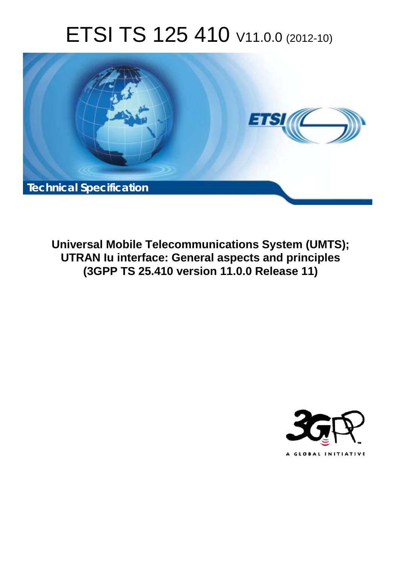# ETSI TS 125 410 V11.0.0 (2012-10)



**Universal Mobile Telecommunications System (UMTS); UTRAN Iu interface: General aspects and principles (3GPP TS 25.410 version 11.0.0 Release 11)** 

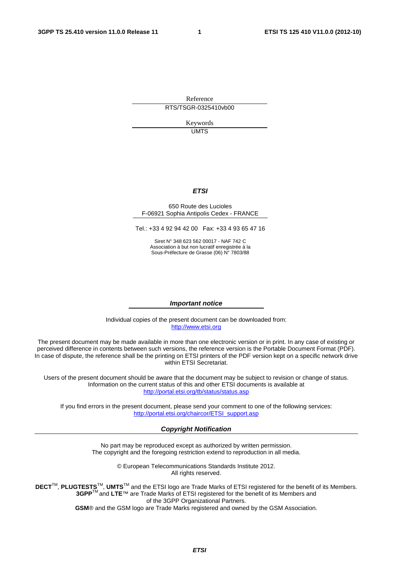Reference RTS/TSGR-0325410vb00

> Keywords UMTS

#### *ETSI*

#### 650 Route des Lucioles F-06921 Sophia Antipolis Cedex - FRANCE

Tel.: +33 4 92 94 42 00 Fax: +33 4 93 65 47 16

Siret N° 348 623 562 00017 - NAF 742 C Association à but non lucratif enregistrée à la Sous-Préfecture de Grasse (06) N° 7803/88

#### *Important notice*

Individual copies of the present document can be downloaded from: [http://www.etsi.org](http://www.etsi.org/)

The present document may be made available in more than one electronic version or in print. In any case of existing or perceived difference in contents between such versions, the reference version is the Portable Document Format (PDF). In case of dispute, the reference shall be the printing on ETSI printers of the PDF version kept on a specific network drive within ETSI Secretariat.

Users of the present document should be aware that the document may be subject to revision or change of status. Information on the current status of this and other ETSI documents is available at <http://portal.etsi.org/tb/status/status.asp>

If you find errors in the present document, please send your comment to one of the following services: [http://portal.etsi.org/chaircor/ETSI\\_support.asp](http://portal.etsi.org/chaircor/ETSI_support.asp)

#### *Copyright Notification*

No part may be reproduced except as authorized by written permission. The copyright and the foregoing restriction extend to reproduction in all media.

> © European Telecommunications Standards Institute 2012. All rights reserved.

DECT<sup>™</sup>, PLUGTESTS<sup>™</sup>, UMTS<sup>™</sup> and the ETSI logo are Trade Marks of ETSI registered for the benefit of its Members. **3GPP**TM and **LTE**™ are Trade Marks of ETSI registered for the benefit of its Members and of the 3GPP Organizational Partners.

**GSM**® and the GSM logo are Trade Marks registered and owned by the GSM Association.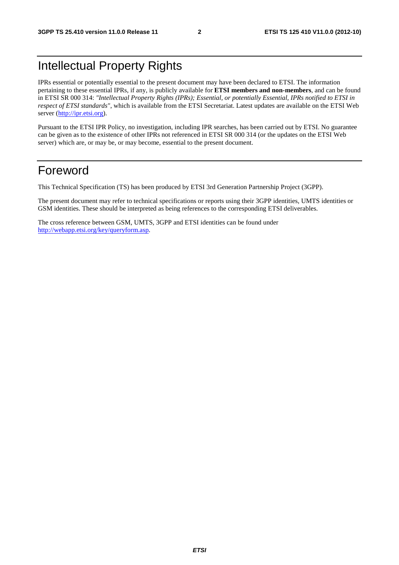# Intellectual Property Rights

IPRs essential or potentially essential to the present document may have been declared to ETSI. The information pertaining to these essential IPRs, if any, is publicly available for **ETSI members and non-members**, and can be found in ETSI SR 000 314: *"Intellectual Property Rights (IPRs); Essential, or potentially Essential, IPRs notified to ETSI in respect of ETSI standards"*, which is available from the ETSI Secretariat. Latest updates are available on the ETSI Web server [\(http://ipr.etsi.org](http://webapp.etsi.org/IPR/home.asp)).

Pursuant to the ETSI IPR Policy, no investigation, including IPR searches, has been carried out by ETSI. No guarantee can be given as to the existence of other IPRs not referenced in ETSI SR 000 314 (or the updates on the ETSI Web server) which are, or may be, or may become, essential to the present document.

# Foreword

This Technical Specification (TS) has been produced by ETSI 3rd Generation Partnership Project (3GPP).

The present document may refer to technical specifications or reports using their 3GPP identities, UMTS identities or GSM identities. These should be interpreted as being references to the corresponding ETSI deliverables.

The cross reference between GSM, UMTS, 3GPP and ETSI identities can be found under [http://webapp.etsi.org/key/queryform.asp.](http://webapp.etsi.org/key/queryform.asp)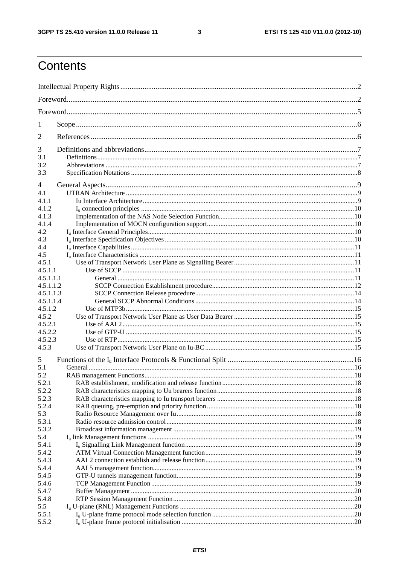$\mathbf{3}$ 

# Contents

| 1              |  |  |  |  |  |  |
|----------------|--|--|--|--|--|--|
| 2              |  |  |  |  |  |  |
| 3              |  |  |  |  |  |  |
| 3.1            |  |  |  |  |  |  |
| 3.2            |  |  |  |  |  |  |
| 3.3            |  |  |  |  |  |  |
| 4              |  |  |  |  |  |  |
| 4.1            |  |  |  |  |  |  |
| 4.1.1          |  |  |  |  |  |  |
| 4.1.2          |  |  |  |  |  |  |
| 4.1.3          |  |  |  |  |  |  |
| 4.1.4          |  |  |  |  |  |  |
| 4.2            |  |  |  |  |  |  |
| 4.3<br>4.4     |  |  |  |  |  |  |
| 4.5            |  |  |  |  |  |  |
| 4.5.1          |  |  |  |  |  |  |
| 4.5.1.1        |  |  |  |  |  |  |
| 4.5.1.1.1      |  |  |  |  |  |  |
| 4.5.1.1.2      |  |  |  |  |  |  |
| 4.5.1.1.3      |  |  |  |  |  |  |
| 4.5.1.1.4      |  |  |  |  |  |  |
| 4.5.1.2        |  |  |  |  |  |  |
| 4.5.2          |  |  |  |  |  |  |
| 4.5.2.1        |  |  |  |  |  |  |
| 4.5.2.2        |  |  |  |  |  |  |
| 4.5.2.3        |  |  |  |  |  |  |
| 4.5.3          |  |  |  |  |  |  |
| 5              |  |  |  |  |  |  |
| 5.1            |  |  |  |  |  |  |
| 5.2<br>5.2.1   |  |  |  |  |  |  |
| 5.2.2          |  |  |  |  |  |  |
| 5.2.3          |  |  |  |  |  |  |
| 5.2.4          |  |  |  |  |  |  |
| 5.3            |  |  |  |  |  |  |
| 5.3.1          |  |  |  |  |  |  |
| 5.3.2          |  |  |  |  |  |  |
| 5.4            |  |  |  |  |  |  |
| 5.4.1          |  |  |  |  |  |  |
| 5.4.2          |  |  |  |  |  |  |
| 5.4.3          |  |  |  |  |  |  |
| 5.4.4          |  |  |  |  |  |  |
| 5.4.5          |  |  |  |  |  |  |
| 5.4.6          |  |  |  |  |  |  |
| 5.4.7<br>5.4.8 |  |  |  |  |  |  |
| 5.5            |  |  |  |  |  |  |
| 5.5.1          |  |  |  |  |  |  |
| 5.5.2          |  |  |  |  |  |  |
|                |  |  |  |  |  |  |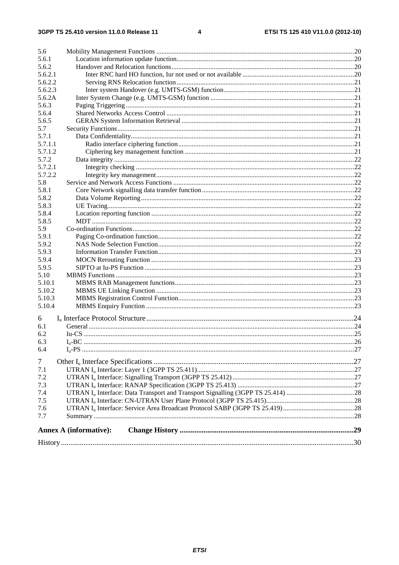| 5.6     |                               |  |
|---------|-------------------------------|--|
| 5.6.1   |                               |  |
| 5.6.2   |                               |  |
| 5.6.2.1 |                               |  |
| 5.6.2.2 |                               |  |
| 5.6.2.3 |                               |  |
| 5.6.2A  |                               |  |
| 5.6.3   |                               |  |
| 5.6.4   |                               |  |
| 5.6.5   |                               |  |
| 5.7     |                               |  |
| 5.7.1   |                               |  |
| 5.7.1.1 |                               |  |
| 5.7.1.2 |                               |  |
| 5.7.2   |                               |  |
| 5.7.2.1 |                               |  |
| 5.7.2.2 |                               |  |
| 5.8     |                               |  |
| 5.8.1   |                               |  |
| 5.8.2   |                               |  |
| 5.8.3   |                               |  |
| 5.8.4   |                               |  |
| 5.8.5   |                               |  |
| 5.9     |                               |  |
| 5.9.1   |                               |  |
| 5.9.2   |                               |  |
| 5.9.3   |                               |  |
| 5.9.4   |                               |  |
| 5.9.5   |                               |  |
| 5.10    |                               |  |
| 5.10.1  |                               |  |
| 5.10.2  |                               |  |
| 5.10.3  |                               |  |
| 5.10.4  |                               |  |
|         |                               |  |
| 6       |                               |  |
| 6.1     |                               |  |
| 6.2     |                               |  |
| 6.3     |                               |  |
| 6.4     |                               |  |
|         |                               |  |
| $\tau$  |                               |  |
| 7.1     |                               |  |
| 7.2     |                               |  |
| 7.3     |                               |  |
| 7.4     |                               |  |
| 7.5     |                               |  |
| 7.6     |                               |  |
| 7.7     |                               |  |
|         | <b>Annex A (informative):</b> |  |
|         |                               |  |
|         |                               |  |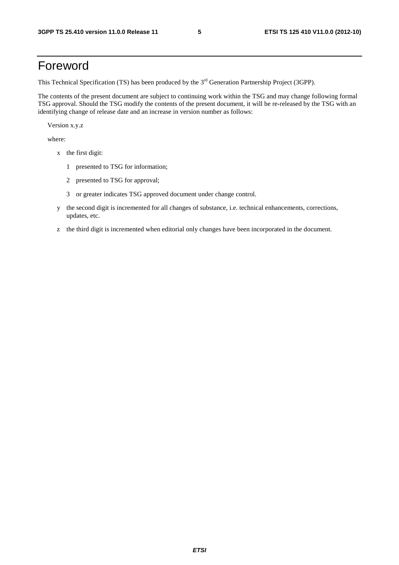# Foreword

This Technical Specification (TS) has been produced by the 3<sup>rd</sup> Generation Partnership Project (3GPP).

The contents of the present document are subject to continuing work within the TSG and may change following formal TSG approval. Should the TSG modify the contents of the present document, it will be re-released by the TSG with an identifying change of release date and an increase in version number as follows:

Version x.y.z

where:

- x the first digit:
	- 1 presented to TSG for information;
	- 2 presented to TSG for approval;
	- 3 or greater indicates TSG approved document under change control.
- y the second digit is incremented for all changes of substance, i.e. technical enhancements, corrections, updates, etc.
- z the third digit is incremented when editorial only changes have been incorporated in the document.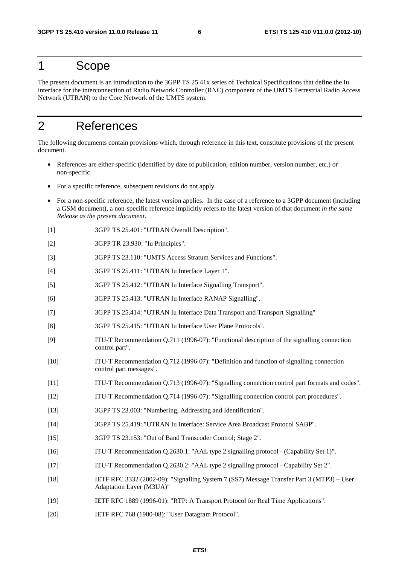# 1 Scope

The present document is an introduction to the 3GPP TS 25.41x series of Technical Specifications that define the Iu interface for the interconnection of Radio Network Controller (RNC) component of the UMTS Terrestrial Radio Access Network (UTRAN) to the Core Network of the UMTS system.

# 2 References

The following documents contain provisions which, through reference in this text, constitute provisions of the present document.

- References are either specific (identified by date of publication, edition number, version number, etc.) or non-specific.
- For a specific reference, subsequent revisions do not apply.
- For a non-specific reference, the latest version applies. In the case of a reference to a 3GPP document (including a GSM document), a non-specific reference implicitly refers to the latest version of that document *in the same Release as the present document*.
- [1] 3GPP TS 25.401: "UTRAN Overall Description".
- [2] 3GPP TR 23.930: "Iu Principles".
- [3] 3GPP TS 23.110: "UMTS Access Stratum Services and Functions".
- [4] 3GPP TS 25.411: "UTRAN Iu Interface Layer 1".
- [5] 3GPP TS 25.412: "UTRAN Iu Interface Signalling Transport".
- [6] 3GPP TS 25.413: "UTRAN Iu Interface RANAP Signalling".
- [7] 3GPP TS 25.414: "UTRAN Iu Interface Data Transport and Transport Signalling"
- [8] 3GPP TS 25.415: "UTRAN Iu Interface User Plane Protocols".
- [9] ITU-T Recommendation Q.711 (1996-07): "Functional description of the signalling connection control part".
- [10] ITU-T Recommendation Q.712 (1996-07): "Definition and function of signalling connection control part messages".
- [11] ITU-T Recommendation Q.713 (1996-07): "Signalling connection control part formats and codes".
- [12] ITU-T Recommendation Q.714 (1996-07): "Signalling connection control part procedures".
- [13] 3GPP TS 23.003: "Numbering, Addressing and Identification".
- [14] 3GPP TS 25.419: "UTRAN Iu Interface: Service Area Broadcast Protocol SABP".
- [15] 3GPP TS 23.153: "Out of Band Transcoder Control; Stage 2".
- [16] ITU-T Recommendation Q.2630.1: "AAL type 2 signalling protocol (Capability Set 1)".
- [17] ITU-T Recommendation Q.2630.2: "AAL type 2 signalling protocol Capability Set 2".
- [18] IETF RFC 3332 (2002-09): "Signalling System 7 (SS7) Message Transfer Part 3 (MTP3) User Adaptation Layer (M3UA)"
- [19] IETF RFC 1889 (1996-01): "RTP: A Transport Protocol for Real Time Applications".
- [20] IETF RFC 768 (1980-08): "User Datagram Protocol".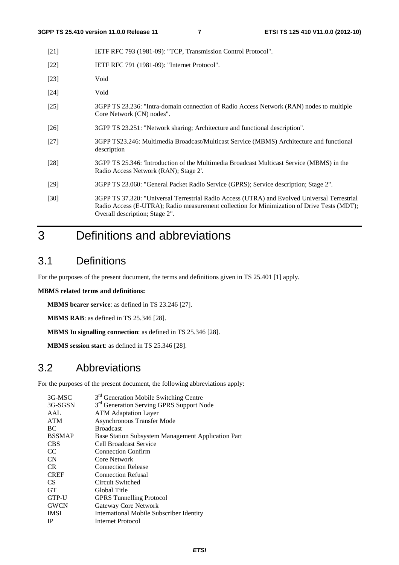| $[21]$ | IETF RFC 793 (1981-09): "TCP, Transmission Control Protocol". |
|--------|---------------------------------------------------------------|
|        |                                                               |

- [22] **IETF RFC 791 (1981-09): "Internet Protocol".**
- [23] Void
- [24] Void
- [25] 3GPP TS 23.236: "Intra-domain connection of Radio Access Network (RAN) nodes to multiple Core Network (CN) nodes".
- [26] 3GPP TS 23.251: "Network sharing; Architecture and functional description".
- [27] 3GPP TS23.246: Multimedia Broadcast/Multicast Service (MBMS) Architecture and functional description
- [28] 3GPP TS 25.346: 'Introduction of the Multimedia Broadcast Multicast Service (MBMS) in the Radio Access Network (RAN); Stage 2'.
- [29] 3GPP TS 23.060: "General Packet Radio Service (GPRS); Service description; Stage 2".
- [30] 3GPP TS 37.320: "Universal Terrestrial Radio Access (UTRA) and Evolved Universal Terrestrial Radio Access (E-UTRA); Radio measurement collection for Minimization of Drive Tests (MDT); Overall description; Stage 2".

# 3 Definitions and abbreviations

### 3.1 Definitions

For the purposes of the present document, the terms and definitions given in TS 25.401 [1] apply.

#### **MBMS related terms and definitions:**

**MBMS bearer service**: as defined in TS 23.246 [27].

**MBMS RAB**: as defined in TS 25.346 [28].

**MBMS Iu signalling connection**: as defined in TS 25.346 [28].

**MBMS session start**: as defined in TS 25.346 [28].

# 3.2 Abbreviations

For the purposes of the present document, the following abbreviations apply:

| 3G-MSC        | 3 <sup>rd</sup> Generation Mobile Switching Centre   |
|---------------|------------------------------------------------------|
| 3G-SGSN       | 3 <sup>rd</sup> Generation Serving GPRS Support Node |
| AAL           | <b>ATM</b> Adaptation Layer                          |
| <b>ATM</b>    | Asynchronous Transfer Mode                           |
| BC.           | <b>Broadcast</b>                                     |
| <b>BSSMAP</b> | Base Station Subsystem Management Application Part   |
| <b>CBS</b>    | Cell Broadcast Service                               |
| <sub>CC</sub> | <b>Connection Confirm</b>                            |
| <b>CN</b>     | Core Network                                         |
| CR.           | <b>Connection Release</b>                            |
| <b>CREF</b>   | <b>Connection Refusal</b>                            |
| CS.           | Circuit Switched                                     |
| <b>GT</b>     | Global Title                                         |
| GTP-U         | <b>GPRS</b> Tunnelling Protocol                      |
| <b>GWCN</b>   | Gateway Core Network                                 |
| <b>IMSI</b>   | International Mobile Subscriber Identity             |
| <b>IP</b>     | <b>Internet Protocol</b>                             |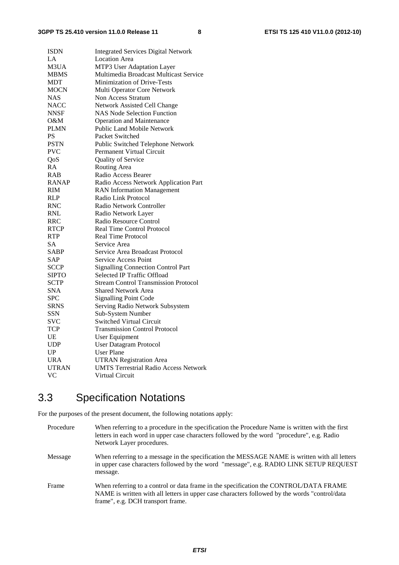| <b>ISDN</b>  | <b>Integrated Services Digital Network</b>   |  |  |
|--------------|----------------------------------------------|--|--|
| LA           | <b>Location Area</b>                         |  |  |
| M3UA         | MTP3 User Adaptation Layer                   |  |  |
| <b>MBMS</b>  | Multimedia Broadcast Multicast Service       |  |  |
| MDT          | Minimization of Drive-Tests                  |  |  |
| MOCN         | Multi Operator Core Network                  |  |  |
| NAS          | Non Access Stratum                           |  |  |
| <b>NACC</b>  | Network Assisted Cell Change                 |  |  |
| <b>NNSF</b>  | <b>NAS Node Selection Function</b>           |  |  |
| 0&M          | <b>Operation and Maintenance</b>             |  |  |
| PLMN         | <b>Public Land Mobile Network</b>            |  |  |
| PS           | Packet Switched                              |  |  |
| <b>PSTN</b>  | Public Switched Telephone Network            |  |  |
| <b>PVC</b>   | Permanent Virtual Circuit                    |  |  |
| QoS          | Quality of Service                           |  |  |
| RA           | Routing Area                                 |  |  |
| <b>RAB</b>   | Radio Access Bearer                          |  |  |
| <b>RANAP</b> | Radio Access Network Application Part        |  |  |
| RIM          | <b>RAN</b> Information Management            |  |  |
| <b>RLP</b>   | Radio Link Protocol                          |  |  |
| <b>RNC</b>   | Radio Network Controller                     |  |  |
| <b>RNL</b>   | Radio Network Layer                          |  |  |
| RRC          | Radio Resource Control                       |  |  |
| <b>RTCP</b>  | Real Time Control Protocol                   |  |  |
| RTP          | Real Time Protocol                           |  |  |
| <b>SA</b>    | Service Area                                 |  |  |
| SABP         | Service Area Broadcast Protocol              |  |  |
| SAP          | <b>Service Access Point</b>                  |  |  |
| SCCP         | <b>Signalling Connection Control Part</b>    |  |  |
| <b>SIPTO</b> | <b>Selected IP Traffic Offload</b>           |  |  |
| <b>SCTP</b>  | <b>Stream Control Transmission Protocol</b>  |  |  |
| SNA          | <b>Shared Network Area</b>                   |  |  |
| <b>SPC</b>   | <b>Signalling Point Code</b>                 |  |  |
| <b>SRNS</b>  | Serving Radio Network Subsystem              |  |  |
| SSN          | Sub-System Number                            |  |  |
| <b>SVC</b>   | <b>Switched Virtual Circuit</b>              |  |  |
| <b>TCP</b>   | <b>Transmission Control Protocol</b>         |  |  |
| UE           | User Equipment                               |  |  |
| <b>UDP</b>   | <b>User Datagram Protocol</b>                |  |  |
| UP           | <b>User Plane</b>                            |  |  |
| <b>URA</b>   | <b>UTRAN Registration Area</b>               |  |  |
| <b>UTRAN</b> | <b>UMTS Terrestrial Radio Access Network</b> |  |  |
| VC           | Virtual Circuit                              |  |  |

# 3.3 Specification Notations

For the purposes of the present document, the following notations apply:

| Procedure | When referring to a procedure in the specification the Procedure Name is written with the first<br>letters in each word in upper case characters followed by the word "procedure", e.g. Radio<br>Network Layer procedures.   |
|-----------|------------------------------------------------------------------------------------------------------------------------------------------------------------------------------------------------------------------------------|
| Message   | When referring to a message in the specification the MESSAGE NAME is written with all letters<br>in upper case characters followed by the word "message", e.g. RADIO LINK SETUP REQUEST<br>message.                          |
| Frame     | When referring to a control or data frame in the specification the CONTROL/DATA FRAME<br>NAME is written with all letters in upper case characters followed by the words "control/data"<br>frame", e.g. DCH transport frame. |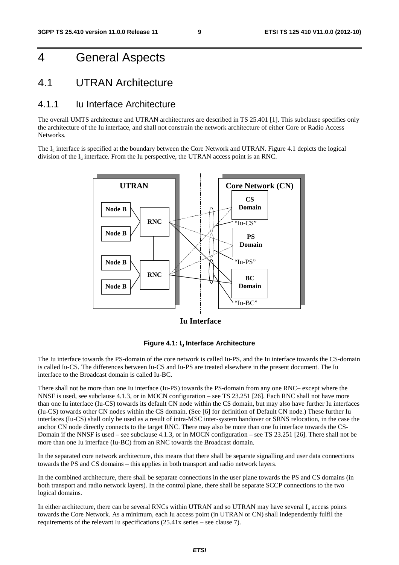# 4 General Aspects

### 4.1 UTRAN Architecture

#### 4.1.1 Iu Interface Architecture

The overall UMTS architecture and UTRAN architectures are described in TS 25.401 [1]. This subclause specifies only the architecture of the Iu interface, and shall not constrain the network architecture of either Core or Radio Access **Networks**.

The  $I_{\text{u}}$  interface is specified at the boundary between the Core Network and UTRAN. Figure 4.1 depicts the logical division of the  $I_u$  interface. From the Iu perspective, the UTRAN access point is an RNC.



**Iu Interface**

![](_page_9_Figure_10.jpeg)

The Iu interface towards the PS-domain of the core network is called Iu-PS, and the Iu interface towards the CS-domain is called Iu-CS. The differences between Iu-CS and Iu-PS are treated elsewhere in the present document. The Iu interface to the Broadcast domain is called Iu-BC.

There shall not be more than one Iu interface (Iu-PS) towards the PS-domain from any one RNC– except where the NNSF is used, see subclause 4.1.3, or in MOCN configuration – see TS 23.251 [26]. Each RNC shall not have more than one Iu interface (Iu-CS) towards its default CN node within the CS domain, but may also have further Iu interfaces (Iu-CS) towards other CN nodes within the CS domain. (See [6] for definition of Default CN node.) These further Iu interfaces (Iu-CS) shall only be used as a result of intra-MSC inter-system handover or SRNS relocation, in the case the anchor CN node directly connects to the target RNC. There may also be more than one Iu interface towards the CS-Domain if the NNSF is used – see subclause 4.1.3, or in MOCN configuration – see TS 23.251 [26]. There shall not be more than one Iu interface (Iu-BC) from an RNC towards the Broadcast domain.

In the separated core network architecture, this means that there shall be separate signalling and user data connections towards the PS and CS domains – this applies in both transport and radio network layers.

In the combined architecture, there shall be separate connections in the user plane towards the PS and CS domains (in both transport and radio network layers). In the control plane, there shall be separate SCCP connections to the two logical domains.

In either architecture, there can be several RNCs within UTRAN and so UTRAN may have several  $I<sub>u</sub>$  access points towards the Core Network. As a minimum, each Iu access point (in UTRAN or CN) shall independently fulfil the requirements of the relevant Iu specifications (25.41x series – see clause 7).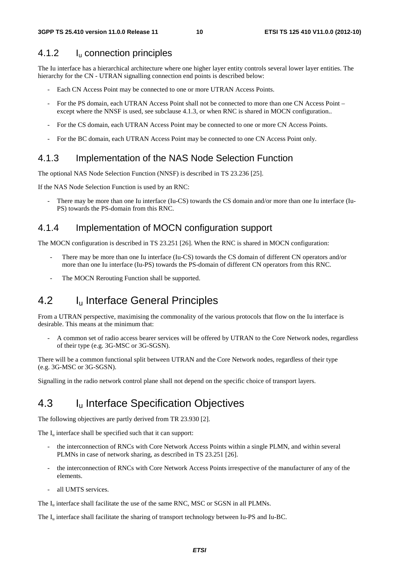#### 4.1.2 Iu connection principles

The Iu interface has a hierarchical architecture where one higher layer entity controls several lower layer entities. The hierarchy for the CN - UTRAN signalling connection end points is described below:

- Each CN Access Point may be connected to one or more UTRAN Access Points.
- For the PS domain, each UTRAN Access Point shall not be connected to more than one CN Access Point except where the NNSF is used, see subclause 4.1.3, or when RNC is shared in MOCN configuration..
- For the CS domain, each UTRAN Access Point may be connected to one or more CN Access Points.
- For the BC domain, each UTRAN Access Point may be connected to one CN Access Point only.

#### 4.1.3 Implementation of the NAS Node Selection Function

The optional NAS Node Selection Function (NNSF) is described in TS 23.236 [25].

If the NAS Node Selection Function is used by an RNC:

There may be more than one Iu interface (Iu-CS) towards the CS domain and/or more than one Iu interface (Iu-PS) towards the PS-domain from this RNC.

#### 4.1.4 Implementation of MOCN configuration support

The MOCN configuration is described in TS 23.251 [26]. When the RNC is shared in MOCN configuration:

- There may be more than one Iu interface (Iu-CS) towards the CS domain of different CN operators and/or more than one Iu interface (Iu-PS) towards the PS-domain of different CN operators from this RNC.
- The MOCN Rerouting Function shall be supported.

# 4.2 I<sub>u</sub> Interface General Principles

From a UTRAN perspective, maximising the commonality of the various protocols that flow on the Iu interface is desirable. This means at the minimum that:

- A common set of radio access bearer services will be offered by UTRAN to the Core Network nodes, regardless of their type (e.g. 3G-MSC or 3G-SGSN).

There will be a common functional split between UTRAN and the Core Network nodes, regardless of their type (e.g. 3G-MSC or 3G-SGSN).

Signalling in the radio network control plane shall not depend on the specific choice of transport layers.

### 4.3 I<sub>u</sub> Interface Specification Objectives

The following objectives are partly derived from TR 23.930 [2].

The  $I_{\rm u}$  interface shall be specified such that it can support:

- the interconnection of RNCs with Core Network Access Points within a single PLMN, and within several PLMNs in case of network sharing, as described in TS 23.251 [26].
- the interconnection of RNCs with Core Network Access Points irrespective of the manufacturer of any of the elements.
- all UMTS services.

The  $I<sub>u</sub>$  interface shall facilitate the use of the same RNC, MSC or SGSN in all PLMNs.

The  $I_{\text{u}}$  interface shall facilitate the sharing of transport technology between Iu-PS and Iu-BC.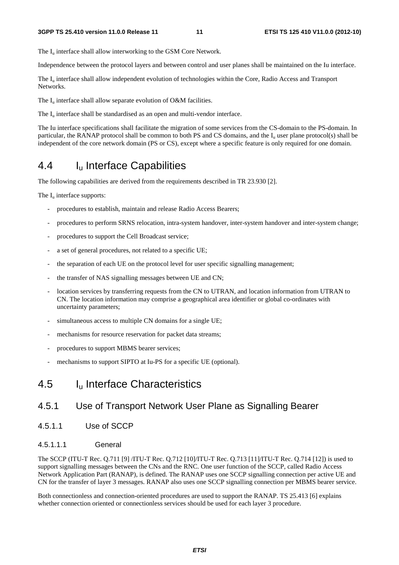The I<sub>u</sub> interface shall allow interworking to the GSM Core Network.

Independence between the protocol layers and between control and user planes shall be maintained on the Iu interface.

The I<sub>u</sub> interface shall allow independent evolution of technologies within the Core, Radio Access and Transport Networks.

The  $I_u$  interface shall allow separate evolution of O&M facilities.

The  $I_{\text{u}}$  interface shall be standardised as an open and multi-vendor interface.

The Iu interface specifications shall facilitate the migration of some services from the CS-domain to the PS-domain. In particular, the RANAP protocol shall be common to both PS and CS domains, and the  $I<sub>u</sub>$  user plane protocol(s) shall be independent of the core network domain (PS or CS), except where a specific feature is only required for one domain.

# 4.4 I<sub>u</sub> Interface Capabilities

The following capabilities are derived from the requirements described in TR 23.930 [2].

The  $I_{\nu}$  interface supports:

- procedures to establish, maintain and release Radio Access Bearers;
- procedures to perform SRNS relocation, intra-system handover, inter-system handover and inter-system change;
- procedures to support the Cell Broadcast service;
- a set of general procedures, not related to a specific UE;
- the separation of each UE on the protocol level for user specific signalling management;
- the transfer of NAS signalling messages between UE and CN;
- location services by transferring requests from the CN to UTRAN, and location information from UTRAN to CN. The location information may comprise a geographical area identifier or global co-ordinates with uncertainty parameters;
- simultaneous access to multiple CN domains for a single UE;
- mechanisms for resource reservation for packet data streams;
- procedures to support MBMS bearer services;
- mechanisms to support SIPTO at Iu-PS for a specific UE (optional).

### 4.5 Iu Interface Characteristics

#### 4.5.1 Use of Transport Network User Plane as Signalling Bearer

4.5.1.1 Use of SCCP

#### 4.5.1.1.1 General

The SCCP (ITU-T Rec. Q.711 [9] /ITU-T Rec. Q.712 [10]/ITU-T Rec. Q.713 [11]/ITU-T Rec. Q.714 [12]) is used to support signalling messages between the CNs and the RNC. One user function of the SCCP, called Radio Access Network Application Part (RANAP), is defined. The RANAP uses one SCCP signalling connection per active UE and CN for the transfer of layer 3 messages. RANAP also uses one SCCP signalling connection per MBMS bearer service.

Both connectionless and connection-oriented procedures are used to support the RANAP. TS 25.413 [6] explains whether connection oriented or connectionless services should be used for each layer 3 procedure.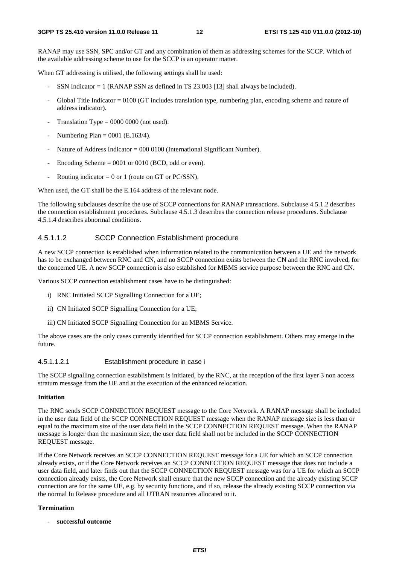RANAP may use SSN, SPC and/or GT and any combination of them as addressing schemes for the SCCP. Which of the available addressing scheme to use for the SCCP is an operator matter.

When GT addressing is utilised, the following settings shall be used:

- SSN Indicator  $= 1$  (RANAP SSN as defined in TS 23.003 [13] shall always be included).
- Global Title Indicator = 0100 (GT includes translation type, numbering plan, encoding scheme and nature of address indicator).
- Translation Type  $= 0000 0000$  (not used).
- Numbering Plan =  $0001$  (E.163/4).
- Nature of Address Indicator =  $000\,0100$  (International Significant Number).
- Encoding Scheme  $= 0001$  or 0010 (BCD, odd or even).
- Routing indicator =  $0$  or 1 (route on GT or PC/SSN).

When used, the GT shall be the E.164 address of the relevant node.

The following subclauses describe the use of SCCP connections for RANAP transactions. Subclause 4.5.1.2 describes the connection establishment procedures. Subclause 4.5.1.3 describes the connection release procedures. Subclause 4.5.1.4 describes abnormal conditions.

#### 4.5.1.1.2 SCCP Connection Establishment procedure

A new SCCP connection is established when information related to the communication between a UE and the network has to be exchanged between RNC and CN, and no SCCP connection exists between the CN and the RNC involved, for the concerned UE. A new SCCP connection is also established for MBMS service purpose between the RNC and CN.

Various SCCP connection establishment cases have to be distinguished:

- i) RNC Initiated SCCP Signalling Connection for a UE;
- ii) CN Initiated SCCP Signalling Connection for a UE;
- iii) CN Initiated SCCP Signalling Connection for an MBMS Service.

The above cases are the only cases currently identified for SCCP connection establishment. Others may emerge in the future.

#### 4.5.1.1.2.1 Establishment procedure in case i

The SCCP signalling connection establishment is initiated, by the RNC, at the reception of the first layer 3 non access stratum message from the UE and at the execution of the enhanced relocation.

#### **Initiation**

The RNC sends SCCP CONNECTION REQUEST message to the Core Network. A RANAP message shall be included in the user data field of the SCCP CONNECTION REQUEST message when the RANAP message size is less than or equal to the maximum size of the user data field in the SCCP CONNECTION REQUEST message. When the RANAP message is longer than the maximum size, the user data field shall not be included in the SCCP CONNECTION REQUEST message.

If the Core Network receives an SCCP CONNECTION REQUEST message for a UE for which an SCCP connection already exists, or if the Core Network receives an SCCP CONNECTION REQUEST message that does not include a user data field, and later finds out that the SCCP CONNECTION REQUEST message was for a UE for which an SCCP connection already exists, the Core Network shall ensure that the new SCCP connection and the already existing SCCP connection are for the same UE, e.g. by security functions, and if so, release the already existing SCCP connection via the normal Iu Release procedure and all UTRAN resources allocated to it.

#### **Termination**

**- successful outcome**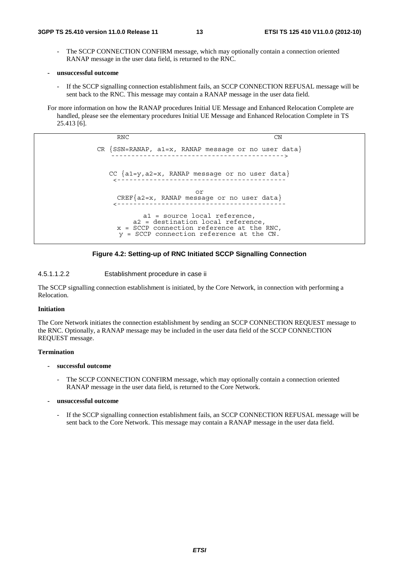- The SCCP CONNECTION CONFIRM message, which may optionally contain a connection oriented RANAP message in the user data field, is returned to the RNC.
- **unsuccessful outcome** 
	- If the SCCP signalling connection establishment fails, an SCCP CONNECTION REFUSAL message will be sent back to the RNC. This message may contain a RANAP message in the user data field.

For more information on how the RANAP procedures Initial UE Message and Enhanced Relocation Complete are handled, please see the elementary procedures Initial UE Message and Enhanced Relocation Complete in TS 25.413 [6].

> RNC CN CR  ${SSN=RANAP, a1=x, RANAP message or no user data}$ CC {a1=y,a2=x, RANAP message or no user data} <----------------------------------------- or CREF{a2=x, RANAP message or no user data} <----------------------------------------- a1 = source local reference, a2 = destination local reference,  $x =$  SCCP connection reference at the RNC, y = SCCP connection reference at the CN.

![](_page_13_Figure_8.jpeg)

4.5.1.1.2.2 Establishment procedure in case ii

The SCCP signalling connection establishment is initiated, by the Core Network, in connection with performing a Relocation.

#### **Initiation**

The Core Network initiates the connection establishment by sending an SCCP CONNECTION REQUEST message to the RNC. Optionally, a RANAP message may be included in the user data field of the SCCP CONNECTION REQUEST message.

#### **Termination**

- **successful outcome** 
	- The SCCP CONNECTION CONFIRM message, which may optionally contain a connection oriented RANAP message in the user data field, is returned to the Core Network.
- **unsuccessful outcome** 
	- If the SCCP signalling connection establishment fails, an SCCP CONNECTION REFUSAL message will be sent back to the Core Network. This message may contain a RANAP message in the user data field.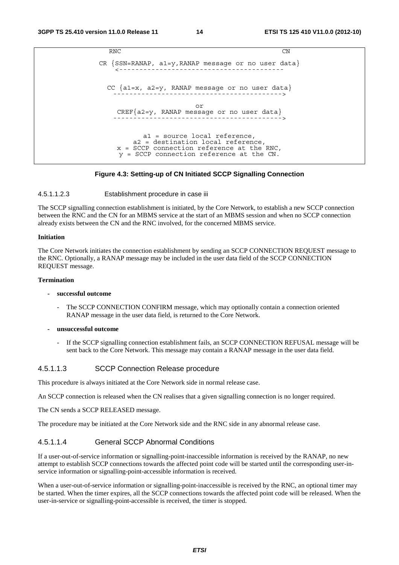```
RNC CN
CR \n{SSN=RANAP, al=y, RANAP message or no user data}CC \{a1=x, a2=y, RANAP message or no user data\}or 
    CREF{a2=y, RANAP message or no user data} 
                      ------------------------------------------> 
          a1 = source local reference, 
        a2 = destination local reference, 
    x = SCCP connection reference at the RNC, 
    y = SCCP connection reference at the CN.
```
#### **Figure 4.3: Setting-up of CN Initiated SCCP Signalling Connection**

#### 4.5.1.1.2.3 Establishment procedure in case iii

The SCCP signalling connection establishment is initiated, by the Core Network, to establish a new SCCP connection between the RNC and the CN for an MBMS service at the start of an MBMS session and when no SCCP connection already exists between the CN and the RNC involved, for the concerned MBMS service.

#### **Initiation**

The Core Network initiates the connection establishment by sending an SCCP CONNECTION REQUEST message to the RNC. Optionally, a RANAP message may be included in the user data field of the SCCP CONNECTION REQUEST message.

#### **Termination**

#### **- successful outcome**

- The SCCP CONNECTION CONFIRM message, which may optionally contain a connection oriented RANAP message in the user data field, is returned to the Core Network.
- **unsuccessful outcome** 
	- If the SCCP signalling connection establishment fails, an SCCP CONNECTION REFUSAL message will be sent back to the Core Network. This message may contain a RANAP message in the user data field.

#### 4.5.1.1.3 SCCP Connection Release procedure

This procedure is always initiated at the Core Network side in normal release case.

An SCCP connection is released when the CN realises that a given signalling connection is no longer required.

The CN sends a SCCP RELEASED message.

The procedure may be initiated at the Core Network side and the RNC side in any abnormal release case.

#### 4.5.1.1.4 General SCCP Abnormal Conditions

If a user-out-of-service information or signalling-point-inaccessible information is received by the RANAP, no new attempt to establish SCCP connections towards the affected point code will be started until the corresponding user-inservice information or signalling-point-accessible information is received.

When a user-out-of-service information or signalling-point-inaccessible is received by the RNC, an optional timer may be started. When the timer expires, all the SCCP connections towards the affected point code will be released. When the user-in-service or signalling-point-accessible is received, the timer is stopped.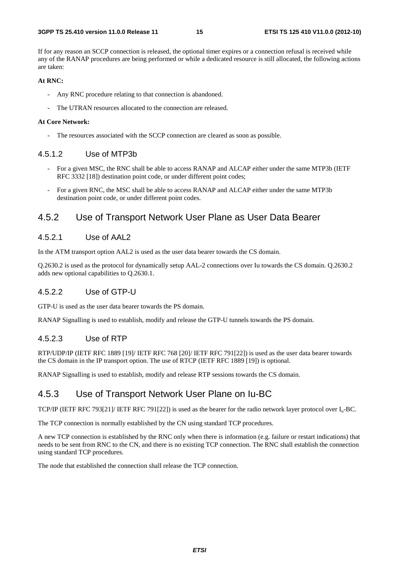If for any reason an SCCP connection is released, the optional timer expires or a connection refusal is received while any of the RANAP procedures are being performed or while a dedicated resource is still allocated, the following actions are taken:

#### **At RNC:**

- Any RNC procedure relating to that connection is abandoned.
- The UTRAN resources allocated to the connection are released.

#### **At Core Network:**

The resources associated with the SCCP connection are cleared as soon as possible.

#### 4.5.1.2 Use of MTP3b

- For a given MSC, the RNC shall be able to access RANAP and ALCAP either under the same MTP3b (IETF RFC 3332 [18]) destination point code, or under different point codes;
- For a given RNC, the MSC shall be able to access RANAP and ALCAP either under the same MTP3b destination point code, or under different point codes.

#### 4.5.2 Use of Transport Network User Plane as User Data Bearer

#### 4.5.2.1 Use of AAL2

In the ATM transport option AAL2 is used as the user data bearer towards the CS domain.

Q.2630.2 is used as the protocol for dynamically setup AAL-2 connections over Iu towards the CS domain. Q.2630.2 adds new optional capabilities to Q.2630.1.

#### 4.5.2.2 Use of GTP-U

GTP-U is used as the user data bearer towards the PS domain.

RANAP Signalling is used to establish, modify and release the GTP-U tunnels towards the PS domain.

#### 4.5.2.3 Use of RTP

RTP/UDP/IP (IETF RFC 1889 [19]/ IETF RFC 768 [20]/ IETF RFC 791[22]) is used as the user data bearer towards the CS domain in the IP transport option. The use of RTCP (IETF RFC 1889 [19]) is optional.

RANAP Signalling is used to establish, modify and release RTP sessions towards the CS domain.

#### 4.5.3 Use of Transport Network User Plane on Iu-BC

TCP/IP (IETF RFC 793[21]/ IETF RFC 791[22]) is used as the bearer for the radio network layer protocol over  $I_{u}$ -BC.

The TCP connection is normally established by the CN using standard TCP procedures.

A new TCP connection is established by the RNC only when there is information (e.g. failure or restart indications) that needs to be sent from RNC to the CN, and there is no existing TCP connection. The RNC shall establish the connection using standard TCP procedures.

The node that established the connection shall release the TCP connection.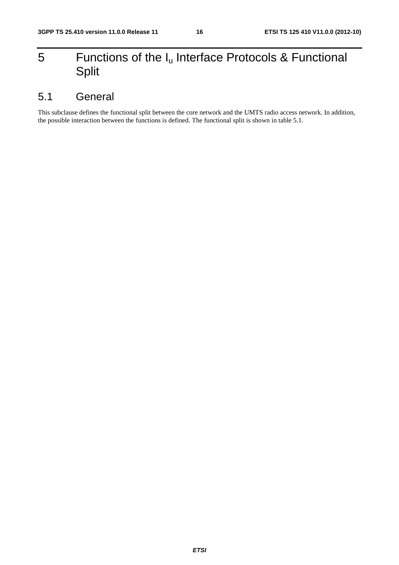# 5 Functions of the  $I_u$  Interface Protocols & Functional Split

# 5.1 General

This subclause defines the functional split between the core network and the UMTS radio access network. In addition, the possible interaction between the functions is defined. The functional split is shown in table 5.1.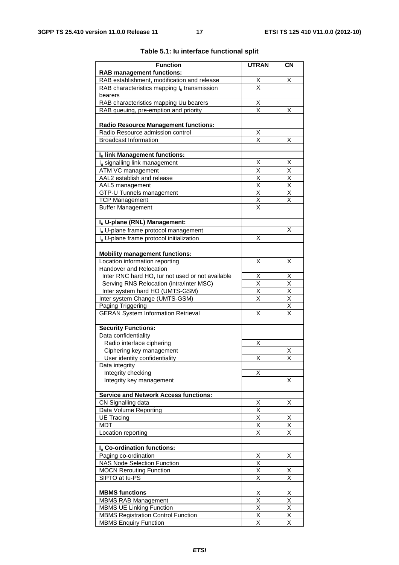| <b>Function</b>                                                                              | <b>UTRAN</b>                 | <b>CN</b>                    |
|----------------------------------------------------------------------------------------------|------------------------------|------------------------------|
| <b>RAB management functions:</b>                                                             |                              |                              |
| RAB establishment, modification and release                                                  |                              | х                            |
| RAB characteristics mapping $I_u$ transmission                                               | $\frac{x}{x}$                |                              |
| bearers                                                                                      |                              |                              |
| RAB characteristics mapping Uu bearers                                                       |                              |                              |
| RAB queuing, pre-emption and priority                                                        | $\frac{X}{X}$                | X                            |
|                                                                                              |                              |                              |
| <b>Radio Resource Management functions:</b>                                                  |                              |                              |
| Radio Resource admission control                                                             | <u>Х</u>                     |                              |
| <b>Broadcast Information</b>                                                                 | $\overline{\mathsf{x}}$      | X                            |
| Iu link Management functions:                                                                |                              |                              |
| I <sub>u</sub> signalling link management                                                    | х                            | Х                            |
| ATM VC management                                                                            | Χ                            | Χ                            |
| AAL2 establish and release                                                                   | $\overline{\mathsf{x}}$      | $\overline{\mathsf{x}}$      |
| AAL5 management                                                                              | $\overline{\mathsf{x}}$      | $\overline{\mathsf{x}}$      |
| GTP-U Tunnels management                                                                     | X                            | Χ                            |
| <b>TCP Management</b>                                                                        | X                            | X                            |
| <b>Buffer Management</b>                                                                     | X                            |                              |
|                                                                                              |                              |                              |
| Iu U-plane (RNL) Management:                                                                 |                              |                              |
| Iu U-plane frame protocol management                                                         |                              | x                            |
| I <sub>u</sub> U-plane frame protocol initialization                                         | Χ                            |                              |
|                                                                                              |                              |                              |
| <b>Mobility management functions:</b>                                                        |                              |                              |
| Location information reporting                                                               | Χ                            | х                            |
| Handover and Relocation                                                                      |                              |                              |
| Inter RNC hard HO, lur not used or not available<br>Serving RNS Relocation (intra/inter MSC) | X<br>$\overline{\mathsf{x}}$ | X<br>$\overline{\mathsf{x}}$ |
| Inter system hard HO (UMTS-GSM)                                                              | $\overline{\mathsf{x}}$      | $\overline{\mathsf{x}}$      |
| Inter system Change (UMTS-GSM)                                                               | X                            | X                            |
| Paging Triggering                                                                            |                              | $\overline{\mathsf{x}}$      |
| <b>GERAN System Information Retrieval</b>                                                    | Χ                            | X                            |
|                                                                                              |                              |                              |
| <b>Security Functions:</b>                                                                   |                              |                              |
| Data confidentiality                                                                         |                              |                              |
| Radio interface ciphering                                                                    | Χ                            |                              |
| Ciphering key management                                                                     |                              | X<br>$\overline{\mathsf{x}}$ |
| User identity confidentiality<br>Data integrity                                              | X                            |                              |
| Integrity checking                                                                           | Χ                            |                              |
| Integrity key management                                                                     |                              | х                            |
|                                                                                              |                              |                              |
| <b>Service and Network Access functions:</b>                                                 |                              |                              |
| CN Signalling data                                                                           | $\frac{X}{X}$                | Χ                            |
| Data Volume Reporting                                                                        |                              |                              |
| <b>UE Tracing</b>                                                                            | X                            | Χ                            |
| <b>MDT</b>                                                                                   | X                            | Χ                            |
| Location reporting                                                                           | Χ                            | X                            |
|                                                                                              |                              |                              |
| I <sub>u</sub> Co-ordination functions:                                                      |                              |                              |
| Paging co-ordination<br>NAS Node Selection Function                                          | Χ<br>$\overline{\mathsf{x}}$ | X                            |
| <b>MOCN Rerouting Function</b>                                                               | Χ                            | х                            |
| SIPTO at lu-PS                                                                               | X                            | X                            |
|                                                                                              |                              |                              |
| <b>MBMS</b> functions                                                                        | Χ                            | Χ                            |
| <b>MBMS RAB Management</b>                                                                   | $\overline{\mathsf{x}}$      | $\overline{\mathsf{x}}$      |
| <b>MBMS UE Linking Function</b>                                                              | $\overline{\mathsf{x}}$      | $\overline{\mathsf{x}}$      |
| <b>MBMS Registration Control Function</b>                                                    | $\overline{\mathsf{x}}$      | $\overline{\mathsf{x}}$      |
| <b>MBMS Enquiry Function</b>                                                                 | Χ                            | X                            |

#### **Table 5.1: Iu interface functional split**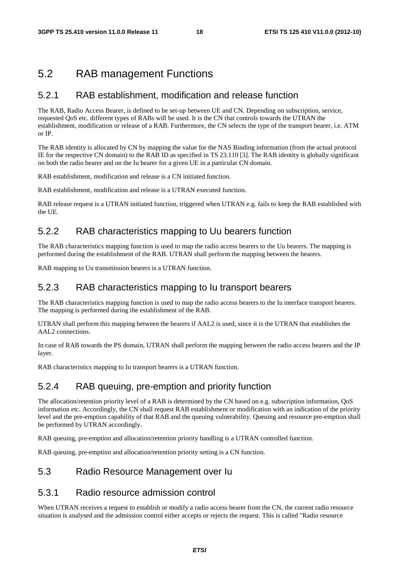### 5.2 RAB management Functions

#### 5.2.1 RAB establishment, modification and release function

The RAB, Radio Access Bearer, is defined to be set-up between UE and CN. Depending on subscription, service, requested QoS etc. different types of RABs will be used. It is the CN that controls towards the UTRAN the establishment, modification or release of a RAB. Furthermore, the CN selects the type of the transport bearer, i.e. ATM or IP.

The RAB identity is allocated by CN by mapping the value for the NAS Binding information (from the actual protocol IE for the respective CN domain) to the RAB ID as specified in TS 23.110 [3]. The RAB identity is globally significant on both the radio bearer and on the Iu bearer for a given UE in a particular CN domain.

RAB establishment, modification and release is a CN initiated function.

RAB establishment, modification and release is a UTRAN executed function.

RAB release request is a UTRAN initiated function, triggered when UTRAN e.g. fails to keep the RAB established with the UE.

### 5.2.2 RAB characteristics mapping to Uu bearers function

The RAB characteristics mapping function is used to map the radio access bearers to the Uu bearers. The mapping is performed during the establishment of the RAB. UTRAN shall perform the mapping between the bearers.

RAB mapping to Uu transmission bearers is a UTRAN function.

#### 5.2.3 RAB characteristics mapping to Iu transport bearers

The RAB characteristics mapping function is used to map the radio access bearers to the Iu interface transport bearers. The mapping is performed during the establishment of the RAB.

UTRAN shall perform this mapping between the bearers if AAL2 is used, since it is the UTRAN that establishes the AAL2 connections.

In case of RAB towards the PS domain, UTRAN shall perform the mapping between the radio access bearers and the IP layer.

RAB characteristics mapping to Iu transport bearers is a UTRAN function.

#### 5.2.4 RAB queuing, pre-emption and priority function

The allocation/retention priority level of a RAB is determined by the CN based on e.g. subscription information, QoS information etc. Accordingly, the CN shall request RAB establishment or modification with an indication of the priority level and the pre-emption capability of that RAB and the queuing vulnerability. Queuing and resource pre-emption shall be performed by UTRAN accordingly.

RAB queuing, pre-emption and allocation/retention priority handling is a UTRAN controlled function.

RAB queuing, pre-emption and allocation/retention priority setting is a CN function.

#### 5.3 Radio Resource Management over Iu

#### 5.3.1 Radio resource admission control

When UTRAN receives a request to establish or modify a radio access bearer from the CN, the current radio resource situation is analysed and the admission control either accepts or rejects the request. This is called "Radio resource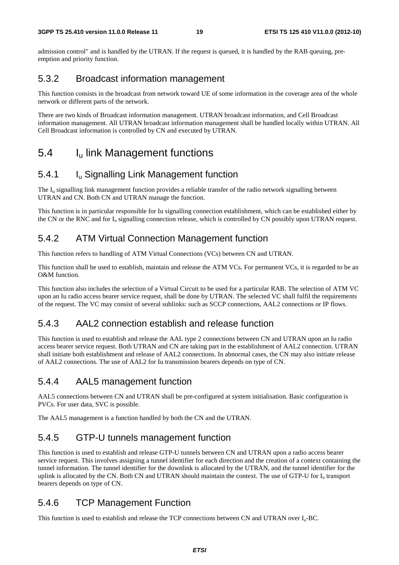admission control" and is handled by the UTRAN. If the request is queued, it is handled by the RAB queuing, preemption and priority function.

### 5.3.2 Broadcast information management

This function consists in the broadcast from network toward UE of some information in the coverage area of the whole network or different parts of the network.

There are two kinds of Broadcast information management. UTRAN broadcast information, and Cell Broadcast information management. All UTRAN broadcast information management shall be handled locally within UTRAN. All Cell Broadcast information is controlled by CN and executed by UTRAN.

# 5.4 Iu link Management functions

### 5.4.1 Iu Signalling Link Management function

The  $I<sub>u</sub>$  signalling link management function provides a reliable transfer of the radio network signalling between UTRAN and CN. Both CN and UTRAN manage the function.

This function is in particular responsible for Iu signalling connection establishment, which can be established either by the CN or the RNC and for  $I_{\text{u}}$  signalling connection release, which is controlled by CN possibly upon UTRAN request.

### 5.4.2 ATM Virtual Connection Management function

This function refers to handling of ATM Virtual Connections (VCs) between CN and UTRAN.

This function shall be used to establish, maintain and release the ATM VCs. For permanent VCs, it is regarded to be an O&M function.

This function also includes the selection of a Virtual Circuit to be used for a particular RAB. The selection of ATM VC upon an Iu radio access bearer service request, shall be done by UTRAN. The selected VC shall fulfil the requirements of the request. The VC may consist of several sublinks: such as SCCP connections, AAL2 connections or IP flows.

### 5.4.3 AAL2 connection establish and release function

This function is used to establish and release the AAL type 2 connections between CN and UTRAN upon an Iu radio access bearer service request. Both UTRAN and CN are taking part in the establishment of AAL2 connection. UTRAN shall initiate both establishment and release of AAL2 connections. In abnormal cases, the CN may also initiate release of AAL2 connections. The use of AAL2 for Iu transmission bearers depends on type of CN.

### 5.4.4 AAL5 management function

AAL5 connections between CN and UTRAN shall be pre-configured at system initialisation. Basic configuration is PVCs. For user data, SVC is possible.

The AAL5 management is a function handled by both the CN and the UTRAN.

### 5.4.5 GTP-U tunnels management function

This function is used to establish and release GTP-U tunnels between CN and UTRAN upon a radio access bearer service request. This involves assigning a tunnel identifier for each direction and the creation of a context containing the tunnel information. The tunnel identifier for the downlink is allocated by the UTRAN, and the tunnel identifier for the uplink is allocated by the CN. Both CN and UTRAN should maintain the context. The use of GTP-U for  $I<sub>u</sub>$  transport bearers depends on type of CN.

### 5.4.6 TCP Management Function

This function is used to establish and release the TCP connections between CN and UTRAN over  $I_n$ -BC.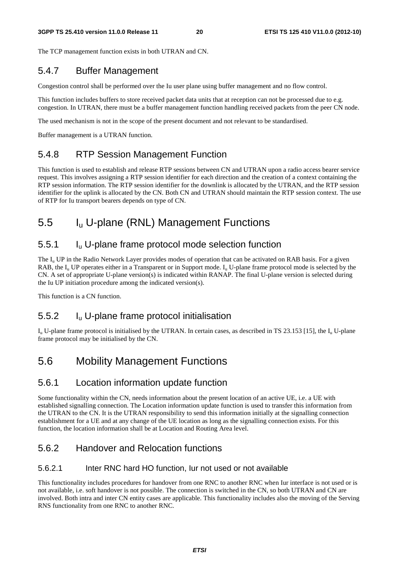The TCP management function exists in both UTRAN and CN.

### 5.4.7 Buffer Management

Congestion control shall be performed over the Iu user plane using buffer management and no flow control.

This function includes buffers to store received packet data units that at reception can not be processed due to e.g. congestion. In UTRAN, there must be a buffer management function handling received packets from the peer CN node.

The used mechanism is not in the scope of the present document and not relevant to be standardised.

Buffer management is a UTRAN function.

### 5.4.8 RTP Session Management Function

This function is used to establish and release RTP sessions between CN and UTRAN upon a radio access bearer service request. This involves assigning a RTP session identifier for each direction and the creation of a context containing the RTP session information. The RTP session identifier for the downlink is allocated by the UTRAN, and the RTP session identifier for the uplink is allocated by the CN. Both CN and UTRAN should maintain the RTP session context. The use of RTP for Iu transport bearers depends on type of CN.

# 5.5 Iu U-plane (RNL) Management Functions

### 5.5.1 Iu U-plane frame protocol mode selection function

The  $I_{\rm u}$  UP in the Radio Network Layer provides modes of operation that can be activated on RAB basis. For a given RAB, the  $I_{\rm u}$  UP operates either in a Transparent or in Support mode.  $I_{\rm u}$  U-plane frame protocol mode is selected by the CN. A set of appropriate U-plane version(s) is indicated within RANAP. The final U-plane version is selected during the Iu UP initiation procedure among the indicated version(s).

This function is a CN function.

#### 5.5.2 Iu U-plane frame protocol initialisation

 $I_{\rm u}$  U-plane frame protocol is initialised by the UTRAN. In certain cases, as described in TS 23.153 [15], the  $I_{\rm u}$  U-plane frame protocol may be initialised by the CN.

# 5.6 Mobility Management Functions

#### 5.6.1 Location information update function

Some functionality within the CN, needs information about the present location of an active UE, i.e. a UE with established signalling connection. The Location information update function is used to transfer this information from the UTRAN to the CN. It is the UTRAN responsibility to send this information initially at the signalling connection establishment for a UE and at any change of the UE location as long as the signalling connection exists. For this function, the location information shall be at Location and Routing Area level.

#### 5.6.2 Handover and Relocation functions

#### 5.6.2.1 Inter RNC hard HO function, Iur not used or not available

This functionality includes procedures for handover from one RNC to another RNC when Iur interface is not used or is not available, i.e. soft handover is not possible. The connection is switched in the CN, so both UTRAN and CN are involved. Both intra and inter CN entity cases are applicable. This functionality includes also the moving of the Serving RNS functionality from one RNC to another RNC.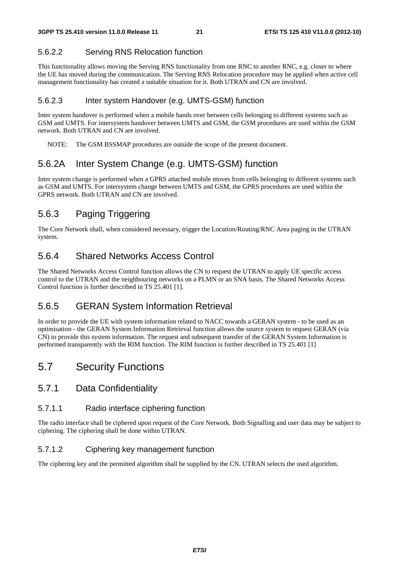#### 5.6.2.2 Serving RNS Relocation function

This functionality allows moving the Serving RNS functionality from one RNC to another RNC, e.g. closer to where the UE has moved during the communication. The Serving RNS Relocation procedure may be applied when active cell management functionality has created a suitable situation for it. Both UTRAN and CN are involved.

#### 5.6.2.3 Inter system Handover (e.g. UMTS-GSM) function

Inter system handover is performed when a mobile hands over between cells belonging to different systems such as GSM and UMTS. For intersystem handover between UMTS and GSM, the GSM procedures are used within the GSM network. Both UTRAN and CN are involved.

NOTE: The GSM BSSMAP procedures are outside the scope of the present document.

### 5.6.2A Inter System Change (e.g. UMTS-GSM) function

Inter system change is performed when a GPRS attached mobile moves from cells belonging to different systems such as GSM and UMTS. For intersystem change between UMTS and GSM, the GPRS procedures are used within the GPRS network. Both UTRAN and CN are involved.

### 5.6.3 Paging Triggering

The Core Network shall, when considered necessary, trigger the Location/Routing/RNC Area paging in the UTRAN system.

### 5.6.4 Shared Networks Access Control

The Shared Networks Access Control function allows the CN to request the UTRAN to apply UE specific access control to the UTRAN and the neighbouring networks on a PLMN or an SNA basis. The Shared Networks Access Control function is further described in TS 25.401 [1].

### 5.6.5 GERAN System Information Retrieval

In order to provide the UE with system information related to NACC towards a GERAN system - to be used as an optimisation - the GERAN System Information Retrieval function allows the source system to request GERAN (via CN) to provide this system information. The request and subsequent transfer of the GERAN System Information is performed transparently with the RIM function. The RIM function is further described in TS 25.401 [1]

# 5.7 Security Functions

#### 5.7.1 Data Confidentiality

#### 5.7.1.1 Radio interface ciphering function

The radio interface shall be ciphered upon request of the Core Network. Both Signalling and user data may be subject to ciphering. The ciphering shall be done within UTRAN.

#### 5.7.1.2 Ciphering key management function

The ciphering key and the permitted algorithm shall be supplied by the CN. UTRAN selects the used algorithm.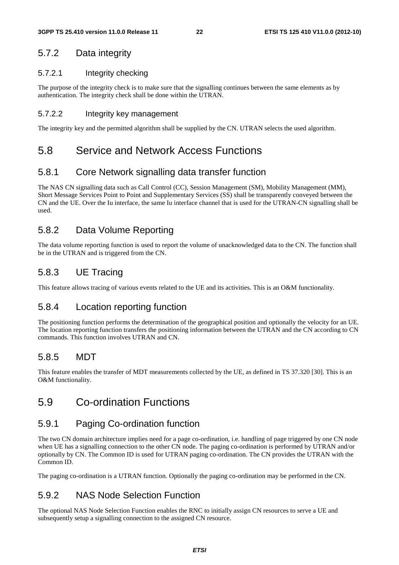### 5.7.2 Data integrity

#### 5.7.2.1 Integrity checking

The purpose of the integrity check is to make sure that the signalling continues between the same elements as by authentication. The integrity check shall be done within the UTRAN.

#### 5.7.2.2 Integrity key management

The integrity key and the permitted algorithm shall be supplied by the CN. UTRAN selects the used algorithm.

# 5.8 Service and Network Access Functions

### 5.8.1 Core Network signalling data transfer function

The NAS CN signalling data such as Call Control (CC), Session Management (SM), Mobility Management (MM), Short Message Services Point to Point and Supplementary Services (SS) shall be transparently conveyed between the CN and the UE. Over the Iu interface, the same Iu interface channel that is used for the UTRAN-CN signalling shall be used.

### 5.8.2 Data Volume Reporting

The data volume reporting function is used to report the volume of unacknowledged data to the CN. The function shall be in the UTRAN and is triggered from the CN.

### 5.8.3 UE Tracing

This feature allows tracing of various events related to the UE and its activities. This is an O&M functionality.

#### 5.8.4 Location reporting function

The positioning function performs the determination of the geographical position and optionally the velocity for an UE. The location reporting function transfers the positioning information between the UTRAN and the CN according to CN commands. This function involves UTRAN and CN.

#### 5.8.5 MDT

This feature enables the transfer of MDT measurements collected by the UE, as defined in TS 37.320 [30]. This is an O&M functionality.

# 5.9 Co-ordination Functions

### 5.9.1 Paging Co-ordination function

The two CN domain architecture implies need for a page co-ordination, i.e. handling of page triggered by one CN node when UE has a signalling connection to the other CN node. The paging co-ordination is performed by UTRAN and/or optionally by CN. The Common ID is used for UTRAN paging co-ordination. The CN provides the UTRAN with the Common ID.

The paging co-ordination is a UTRAN function. Optionally the paging co-ordination may be performed in the CN.

#### 5.9.2 NAS Node Selection Function

The optional NAS Node Selection Function enables the RNC to initially assign CN resources to serve a UE and subsequently setup a signalling connection to the assigned CN resource.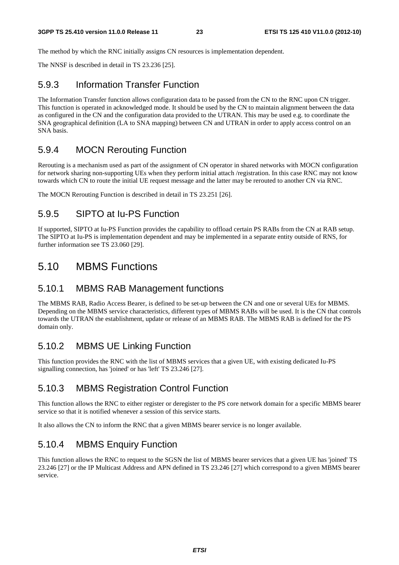The method by which the RNC initially assigns CN resources is implementation dependent.

The NNSF is described in detail in TS 23.236 [25].

#### 5.9.3 Information Transfer Function

The Information Transfer function allows configuration data to be passed from the CN to the RNC upon CN trigger. This function is operated in acknowledged mode. It should be used by the CN to maintain alignment between the data as configured in the CN and the configuration data provided to the UTRAN. This may be used e.g. to coordinate the SNA geographical definition (LA to SNA mapping) between CN and UTRAN in order to apply access control on an SNA basis.

#### 5.9.4 MOCN Rerouting Function

Rerouting is a mechanism used as part of the assignment of CN operator in shared networks with MOCN configuration for network sharing non-supporting UEs when they perform initial attach /registration. In this case RNC may not know towards which CN to route the initial UE request message and the latter may be rerouted to another CN via RNC.

The MOCN Rerouting Function is described in detail in TS 23.251 [26].

#### 5.9.5 SIPTO at Iu-PS Function

If supported, SIPTO at Iu-PS Function provides the capability to offload certain PS RABs from the CN at RAB setup. The SIPTO at Iu-PS is implementation dependent and may be implemented in a separate entity outside of RNS, for further information see TS 23.060 [29].

### 5.10 MBMS Functions

#### 5.10.1 MBMS RAB Management functions

The MBMS RAB, Radio Access Bearer, is defined to be set-up between the CN and one or several UEs for MBMS. Depending on the MBMS service characteristics, different types of MBMS RABs will be used. It is the CN that controls towards the UTRAN the establishment, update or release of an MBMS RAB. The MBMS RAB is defined for the PS domain only.

### 5.10.2 MBMS UE Linking Function

This function provides the RNC with the list of MBMS services that a given UE, with existing dedicated Iu-PS signalling connection, has 'joined' or has 'left' TS 23.246 [27].

### 5.10.3 MBMS Registration Control Function

This function allows the RNC to either register or deregister to the PS core network domain for a specific MBMS bearer service so that it is notified whenever a session of this service starts.

It also allows the CN to inform the RNC that a given MBMS bearer service is no longer available.

### 5.10.4 MBMS Enquiry Function

This function allows the RNC to request to the SGSN the list of MBMS bearer services that a given UE has 'joined' TS 23.246 [27] or the IP Multicast Address and APN defined in TS 23.246 [27] which correspond to a given MBMS bearer service.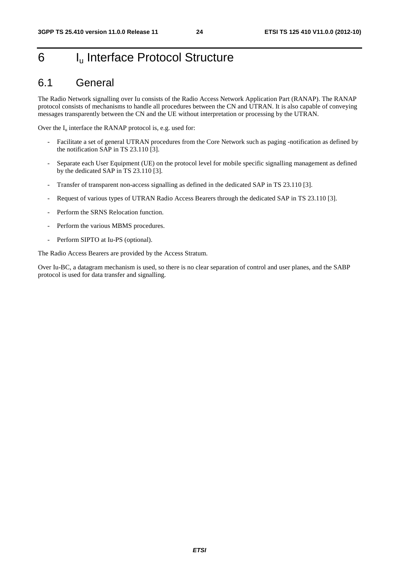# 6 I<sub>u</sub> Interface Protocol Structure

### 6.1 General

The Radio Network signalling over Iu consists of the Radio Access Network Application Part (RANAP). The RANAP protocol consists of mechanisms to handle all procedures between the CN and UTRAN. It is also capable of conveying messages transparently between the CN and the UE without interpretation or processing by the UTRAN.

Over the  $I_u$  interface the RANAP protocol is, e.g. used for:

- Facilitate a set of general UTRAN procedures from the Core Network such as paging -notification as defined by the notification SAP in TS 23.110 [3].
- Separate each User Equipment (UE) on the protocol level for mobile specific signalling management as defined by the dedicated SAP in TS 23.110 [3].
- Transfer of transparent non-access signalling as defined in the dedicated SAP in TS 23.110 [3].
- Request of various types of UTRAN Radio Access Bearers through the dedicated SAP in TS 23.110 [3].
- Perform the SRNS Relocation function.
- Perform the various MBMS procedures.
- Perform SIPTO at Iu-PS (optional).

The Radio Access Bearers are provided by the Access Stratum.

Over Iu-BC, a datagram mechanism is used, so there is no clear separation of control and user planes, and the SABP protocol is used for data transfer and signalling.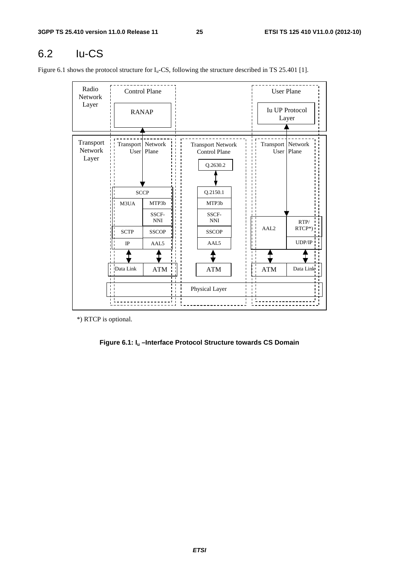# 6.2 Iu-CS

Figure 6.1 shows the protocol structure for  $I_u$ -CS, following the structure described in TS 25.401 [1].

| Radio<br>Network              |                             | <b>Control Plane</b>    |  |                                                              |                     | <b>User Plane</b>              |
|-------------------------------|-----------------------------|-------------------------|--|--------------------------------------------------------------|---------------------|--------------------------------|
| Layer                         | <b>RANAP</b>                |                         |  |                                                              |                     | <b>Iu UP Protocol</b><br>Layer |
| Transport<br>Network<br>Layer | Transport   Network<br>User | Plane                   |  | <b>Transport Network</b><br><b>Control Plane</b><br>Q.2630.2 | Transport   Network | User   Plane                   |
|                               | <b>SCCP</b>                 |                         |  | Q.2150.1                                                     |                     |                                |
|                               | M3UA                        | MTP3b                   |  | MTP3b                                                        |                     |                                |
|                               |                             | SSCF-<br>$\mathbf{NNI}$ |  | SSCF-<br><b>NNI</b>                                          |                     | RTP/                           |
|                               | <b>SCTP</b>                 | <b>SSCOP</b>            |  | <b>SSCOP</b>                                                 | AAL <sub>2</sub>    | RTCP*)                         |
|                               | $_{\rm IP}$                 | AAL <sub>5</sub>        |  | AAL5                                                         |                     | UDP/IP                         |
|                               |                             |                         |  |                                                              |                     |                                |
|                               | Data Link                   | <b>ATM</b>              |  | ATM                                                          | <b>ATM</b>          | Data Link                      |
|                               |                             |                         |  | Physical Layer                                               |                     |                                |

\*) RTCP is optional.

#### **Figure 6.1: Iu –Interface Protocol Structure towards CS Domain**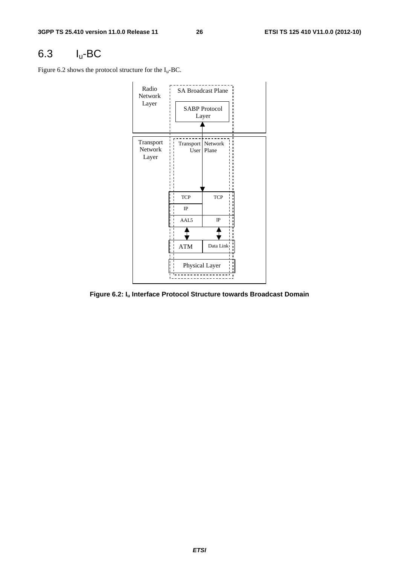# 6.3 Iu-BC

Figure 6.2 shows the protocol structure for the  $I_u$ -BC.

![](_page_26_Figure_5.jpeg)

**Figure 6.2: Iu Interface Protocol Structure towards Broadcast Domain**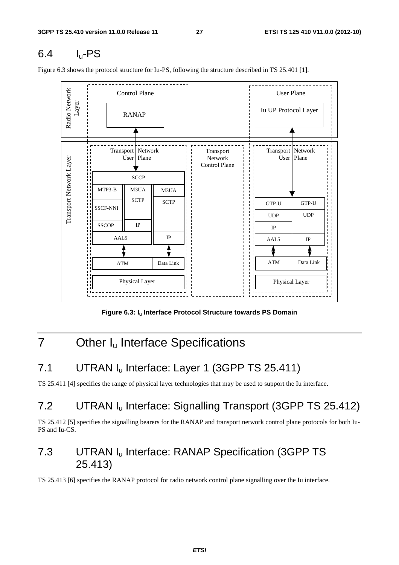# 6.4 Iu-PS

Figure 6.3 shows the protocol structure for Iu-PS, following the structure described in TS 25.401 [1].

![](_page_27_Figure_5.jpeg)

Figure 6.3: I<sub>u</sub> Interface Protocol Structure towards PS Domain

# 7 Other I<sub>u</sub> Interface Specifications

# 7.1 UTRAN I<sub>u</sub> Interface: Layer 1 (3GPP TS 25.411)

TS 25.411 [4] specifies the range of physical layer technologies that may be used to support the Iu interface.

# 7.2 UTRAN I<sub>u</sub> Interface: Signalling Transport (3GPP TS 25.412)

TS 25.412 [5] specifies the signalling bearers for the RANAP and transport network control plane protocols for both Iu-PS and Iu-CS.

# 7.3 UTRAN Iu Interface: RANAP Specification (3GPP TS 25.413)

TS 25.413 [6] specifies the RANAP protocol for radio network control plane signalling over the Iu interface.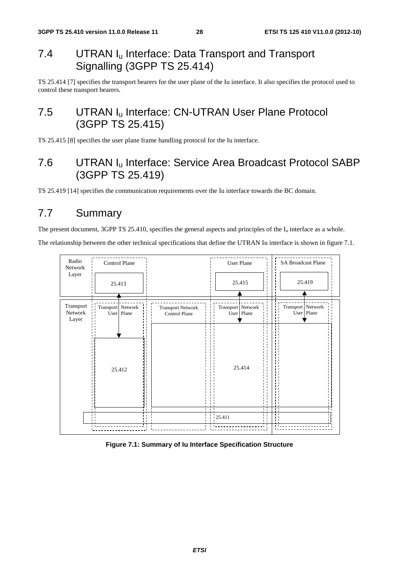# 7.4 UTRAN I<sub>u</sub> Interface: Data Transport and Transport Signalling (3GPP TS 25.414)

TS 25.414 [7] specifies the transport bearers for the user plane of the Iu interface. It also specifies the protocol used to control these transport bearers.

# 7.5 UTRAN I<sub>u</sub> Interface: CN-UTRAN User Plane Protocol (3GPP TS 25.415)

TS 25.415 [8] specifies the user plane frame handling protocol for the Iu interface.

# 7.6 UTRAN Iu Interface: Service Area Broadcast Protocol SABP (3GPP TS 25.419)

TS 25.419 [14] specifies the communication requirements over the Iu interface towards the BC domain.

# 7.7 Summary

The present document, 3GPP TS 25.410, specifies the general aspects and principles of the  $I_u$  interface as a whole.

The relationship between the other technical specifications that define the UTRAN Iu interface is shown in figure 7.1.

![](_page_28_Figure_12.jpeg)

#### **Figure 7.1: Summary of Iu Interface Specification Structure**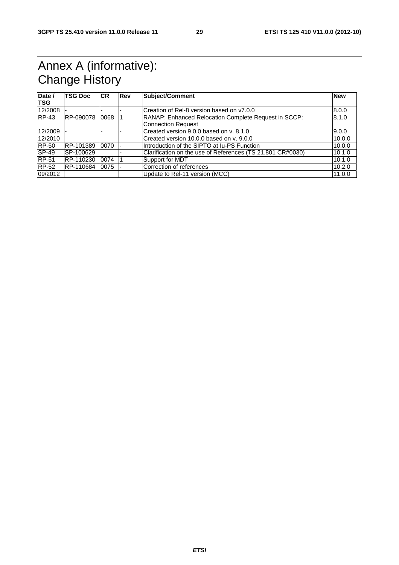# Annex A (informative): Change History

| Date /       | <b>TSG Doc</b> | <b>ICR</b> | Rev | Subject/Comment                                            | <b>New</b> |
|--------------|----------------|------------|-----|------------------------------------------------------------|------------|
| <b>TSG</b>   |                |            |     |                                                            |            |
| 12/2008      |                |            |     | Creation of Rel-8 version based on y7.0.0                  | 8.0.0      |
| $RP-43$      | RP-090078      | 0068       |     | RANAP: Enhanced Relocation Complete Request in SCCP:       | 8.1.0      |
|              |                |            |     | <b>Connection Request</b>                                  |            |
| 12/2009      |                |            |     | Created version 9.0.0 based on y. 8.1.0                    | 9.0.0      |
| 12/2010      |                |            |     | Created version 10.0.0 based on v. 9.0.0                   | 10.0.0     |
| <b>RP-50</b> | RP-101389      | 0070       |     | Introduction of the SIPTO at Iu-PS Function                | 10.0.0     |
| <b>SP-49</b> | SP-100629      |            |     | Clarification on the use of References (TS 21.801 CR#0030) | 10.1.0     |
| <b>RP-51</b> | RP-110230      | 0074       |     | Support for MDT                                            | 10.1.0     |
| $RP-52$      | RP-110684      | 0075       |     | Correction of references                                   | 10.2.0     |
| 09/2012      |                |            |     | Update to Rel-11 version (MCC)                             | 11.0.0     |